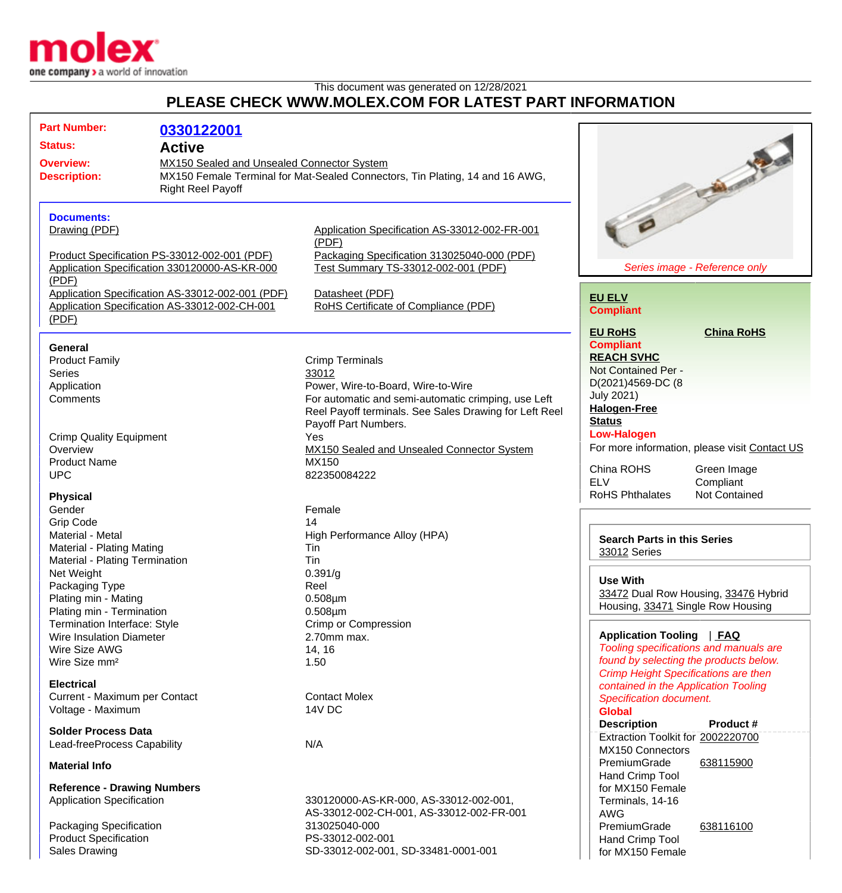

## This document was generated on 12/28/2021 **PLEASE CHECK WWW.MOLEX.COM FOR LATEST PART INFORMATION**

| <b>Part Number:</b>                                                                                                                                                                                                   | 0330122001                                    |                                                                                                                                                                                        |                                                                                                                                                                                               |
|-----------------------------------------------------------------------------------------------------------------------------------------------------------------------------------------------------------------------|-----------------------------------------------|----------------------------------------------------------------------------------------------------------------------------------------------------------------------------------------|-----------------------------------------------------------------------------------------------------------------------------------------------------------------------------------------------|
| <b>Status:</b>                                                                                                                                                                                                        | <b>Active</b>                                 |                                                                                                                                                                                        |                                                                                                                                                                                               |
| <b>Overview:</b><br>MX150 Sealed and Unsealed Connector System<br><b>Description:</b><br><b>Right Reel Payoff</b>                                                                                                     |                                               | MX150 Female Terminal for Mat-Sealed Connectors, Tin Plating, 14 and 16 AWG,                                                                                                           | <b>Charles County</b>                                                                                                                                                                         |
| <b>Documents:</b><br>Drawing (PDF)<br>Product Specification PS-33012-002-001 (PDF)                                                                                                                                    |                                               | Application Specification AS-33012-002-FR-001<br>(PDF)<br>Packaging Specification 313025040-000 (PDF)                                                                                  |                                                                                                                                                                                               |
| (PDF)                                                                                                                                                                                                                 | Application Specification 330120000-AS-KR-000 | Test Summary TS-33012-002-001 (PDF)                                                                                                                                                    | Series image - Reference only                                                                                                                                                                 |
| Application Specification AS-33012-002-001 (PDF)<br>Application Specification AS-33012-002-CH-001<br>(PDF)                                                                                                            |                                               | Datasheet (PDF)<br>RoHS Certificate of Compliance (PDF)                                                                                                                                | <b>EU ELV</b><br><b>Compliant</b>                                                                                                                                                             |
| <b>General</b><br><b>Product Family</b><br><b>Series</b><br>Application<br>Comments                                                                                                                                   |                                               | <b>Crimp Terminals</b><br>33012<br>Power, Wire-to-Board, Wire-to-Wire<br>For automatic and semi-automatic crimping, use Left<br>Reel Payoff terminals. See Sales Drawing for Left Reel | <b>EU RoHS</b><br><b>China RoHS</b><br><b>Compliant</b><br><b>REACH SVHC</b><br>Not Contained Per -<br>D(2021)4569-DC (8<br><b>July 2021)</b><br><b>Halogen-Free</b><br><b>Status</b>         |
| <b>Crimp Quality Equipment</b><br>Overview<br><b>Product Name</b><br><b>UPC</b>                                                                                                                                       |                                               | Payoff Part Numbers.<br>Yes<br>MX150 Sealed and Unsealed Connector System<br>MX150<br>822350084222                                                                                     | <b>Low-Halogen</b><br>For more information, please visit Contact US<br>China ROHS<br>Green Image<br><b>ELV</b><br>Compliant                                                                   |
| <b>Physical</b><br>Gender<br><b>Grip Code</b><br>Material - Metal<br>Material - Plating Mating<br>Material - Plating Termination<br>Net Weight<br>Packaging Type<br>Plating min - Mating<br>Plating min - Termination |                                               | Female<br>14<br>High Performance Alloy (HPA)<br>Tin<br>Tin<br>0.391/g<br>Reel<br>$0.508 \mu m$<br>$0.508 \mu m$                                                                        | <b>RoHS Phthalates</b><br>Not Contained<br><b>Search Parts in this Series</b><br>33012 Series<br><b>Use With</b><br>33472 Dual Row Housing, 33476 Hybrid<br>Housing, 33471 Single Row Housing |
| Termination Interface: Style<br>Wire Insulation Diameter<br>Wire Size AWG<br>Wire Size mm <sup>2</sup>                                                                                                                |                                               | Crimp or Compression<br>2.70mm max.<br>14, 16<br>1.50                                                                                                                                  | Application Tooling   FAQ<br>Tooling specifications and manuals are<br>found by selecting the products below.<br><b>Crimp Height Specifications are then</b>                                  |
| <b>Electrical</b><br>Current - Maximum per Contact<br>Voltage - Maximum                                                                                                                                               |                                               | <b>Contact Molex</b><br>14V DC                                                                                                                                                         | contained in the Application Tooling<br>Specification document.<br><b>Global</b><br><b>Description</b><br>Product #                                                                           |
| <b>Solder Process Data</b><br>Lead-freeProcess Capability<br><b>Material Info</b>                                                                                                                                     |                                               | N/A                                                                                                                                                                                    | Extraction Toolkit for 2002220700<br><b>MX150 Connectors</b><br>PremiumGrade<br>638115900                                                                                                     |
| <b>Reference - Drawing Numbers</b>                                                                                                                                                                                    |                                               |                                                                                                                                                                                        | Hand Crimp Tool<br>for MX150 Female                                                                                                                                                           |
| <b>Application Specification</b>                                                                                                                                                                                      |                                               | 330120000-AS-KR-000, AS-33012-002-001,<br>AS-33012-002-CH-001, AS-33012-002-FR-001                                                                                                     | Terminals, 14-16<br><b>AWG</b>                                                                                                                                                                |
| Packaging Specification<br><b>Product Specification</b><br><b>Sales Drawing</b>                                                                                                                                       |                                               | 313025040-000<br>PS-33012-002-001<br>SD-33012-002-001, SD-33481-0001-001                                                                                                               | PremiumGrade<br>638116100<br>Hand Crimp Tool<br>for MX150 Female                                                                                                                              |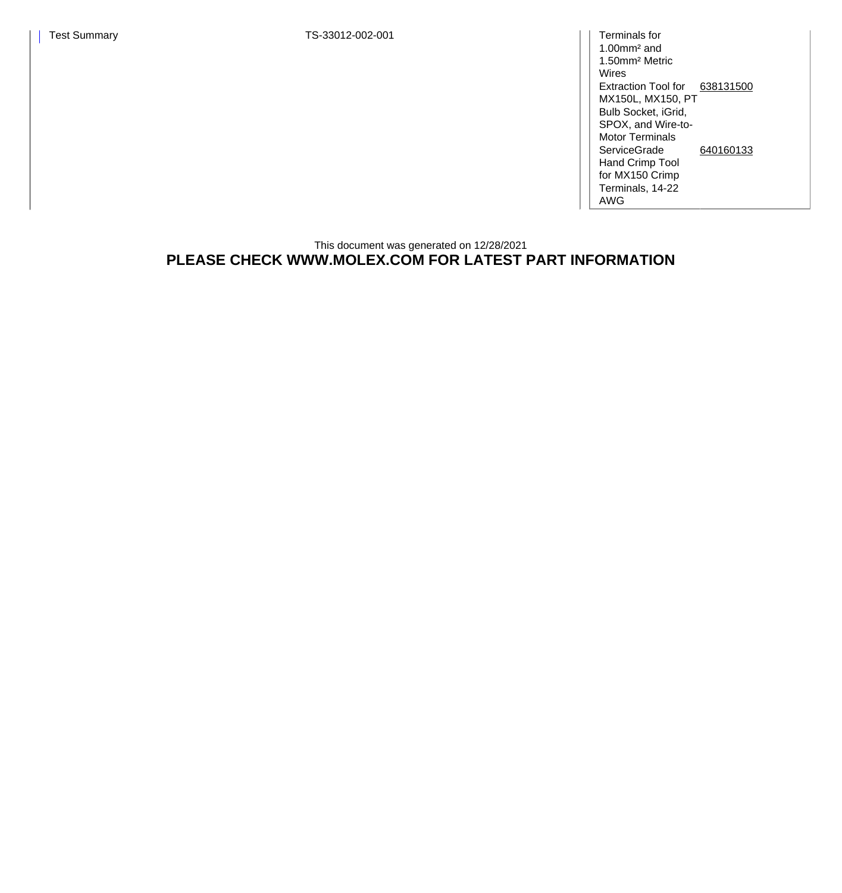1.00mm² and 1.50mm² Metric Wires Extraction Tool for [638131500](http://www.molex.com/molex/products/datasheet.jsp?part=active/0638131500_APPLICATION_TOOLIN.xml) MX150L, MX150, PT Bulb Socket, iGrid, SPOX, and Wire-to-Motor Terminals **ServiceGrade** Hand Crimp Tool for MX150 Crimp Terminals, 14-22 AWG [640160133](http://www.molex.com/molex/products/datasheet.jsp?part=active/0640160133_APPLICATION_TOOLIN.xml)

## This document was generated on 12/28/2021 **PLEASE CHECK WWW.MOLEX.COM FOR LATEST PART INFORMATION**